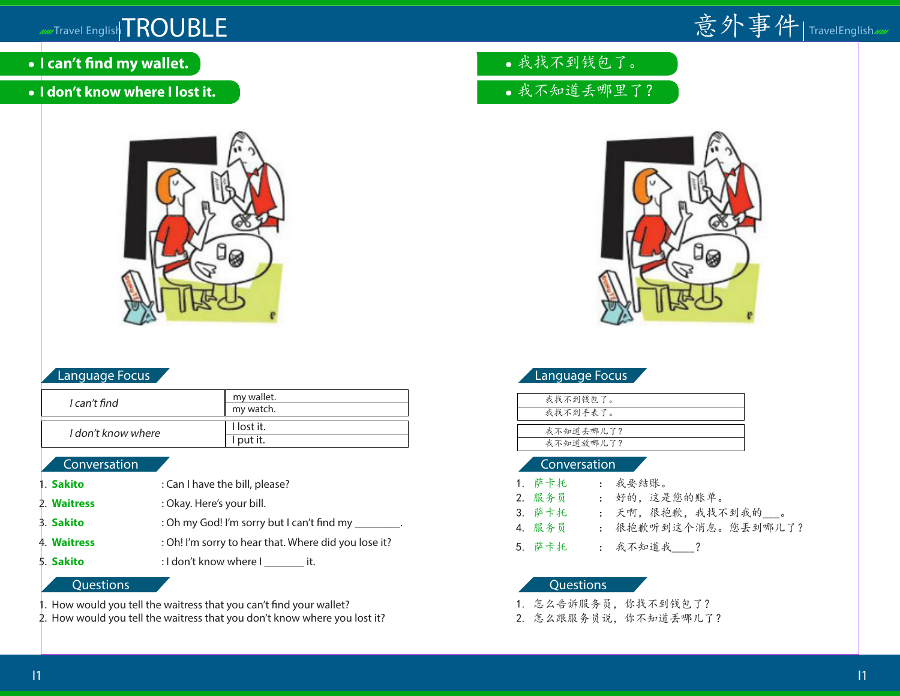

- **I can't find my wallet.**
- **I don't know where I lost it.**



## Language Focus

| I can't find       | my wallet. |
|--------------------|------------|
|                    | my watch.  |
|                    |            |
| I don't know where | I lost it. |
|                    | I put it.  |

### Conversation

- 1. **Sakito** : Can I have the bill, please?
- 2. **Waitress** : Okay. Here's your bill.
- 3. **Sakito** : Oh my God! I'm sorry but I can't find my \_\_\_\_\_\_\_.
- 4. **Waitress** : Oh! I'm sorry to hear that. Where did you lose it?
- 5. **Sakito** : I don't know where I \_\_\_\_\_\_\_\_ it.

# Questions

. How would you tell the waitress that you can't find your wallet?

2. How would you tell the waitress that you don't know where you lost it?

- 我找不到钱包了。
- 我不知道丢哪里了?



## Language Focus

| 我找不到钱包了。  |
|-----------|
| 我找不到手表了。  |
|           |
| 我不知道丢哪儿了? |
| 我不知道放哪儿了? |
|           |

### Conversation

| 1. 萨卡托 | : 我要结账。               |
|--------|-----------------------|
| 2. 服务员 | : 好的,这是您的账单。          |
| 3. 萨卡托 | : 天啊, 很抱歉, 我找不到我的___。 |
| 4. 服务员 | : 很抱歉听到这个消息。您丢到哪儿了?   |
| 5. 萨卡托 | : 我不知道我 ?             |

### Questions

1. 怎么告诉服务员,你找不到钱包了?

2. 怎么跟服务员说,你不知道丟哪儿了?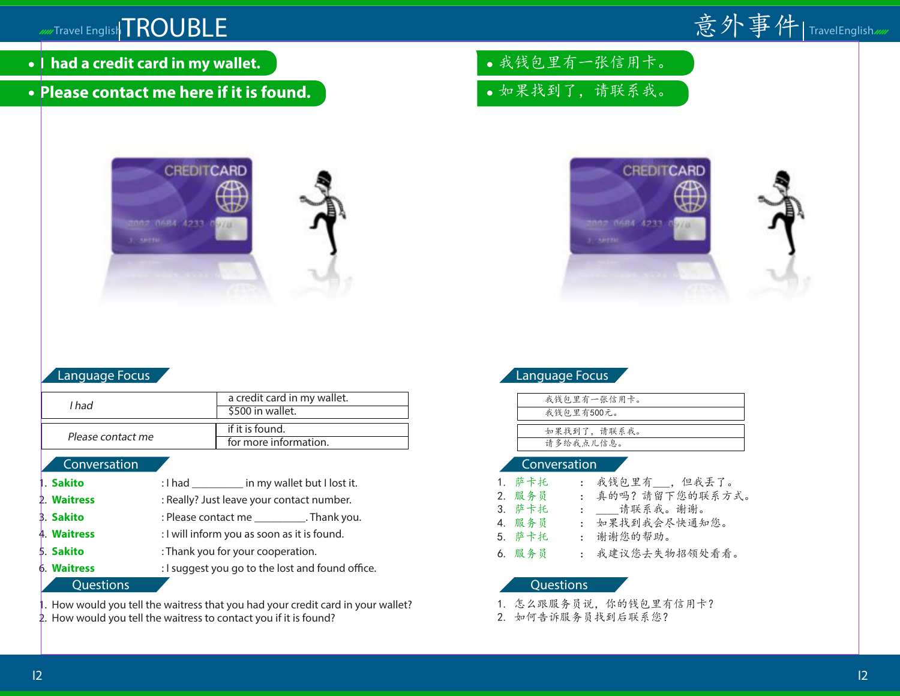# Travel English TROUBLE

- **I had a credit card in my wallet.**
- **Please contact me here if it is found.**



## Language Focus

| I had             | a credit card in my wallet. |
|-------------------|-----------------------------|
|                   | \$500 in wallet.            |
|                   |                             |
|                   | if it is found.             |
| Please contact me | for more information.       |

## **Conversation**

| 1. Sakito   | : I had ____________ in my wallet but I lost it. |  |
|-------------|--------------------------------------------------|--|
| 2. Waitress | : Really? Just leave your contact number.        |  |
| 3. Sakito   | : Please contact me ___________. Thank you.      |  |
| 4. Waitress | : I will inform you as soon as it is found.      |  |
| 5. Sakito   | : Thank you for your cooperation.                |  |
| 6. Waitress | : I suggest you go to the lost and found office. |  |
| Questions   |                                                  |  |

1. How would you tell the waitress that you had your credit card in your wallet?

2. How would you tell the waitress to contact you if it is found?

我钱包里有一张信用卡。 如果找到了,请联系我。



# Language Focus

| 我钱包里有一张信用卡。 |
|-------------|
| 我钱包里有500元。  |
|             |
| 如果找到了,请联系我。 |
| 请多给我点儿信息。   |
|             |

### Conversation

| 1. 萨卡托 | : 我钱包里有 , 但我丢了。  |
|--------|------------------|
| 2. 服务员 | : 真的吗?請留下您的联系方式。 |
| 3. 萨卡托 | : 请联系我。谢谢。       |
| 4. 服务员 | : 如果找到我会尽快通知您。   |
| 5. 萨卡托 | : 谢谢您的帮助。        |
| 6. 服务员 | : 我建议您去失物招领处看看。  |

- 1. 怎么跟服务员说,你的钱包里有信用卡?
- 2. 如何告诉服务员找到后联系您?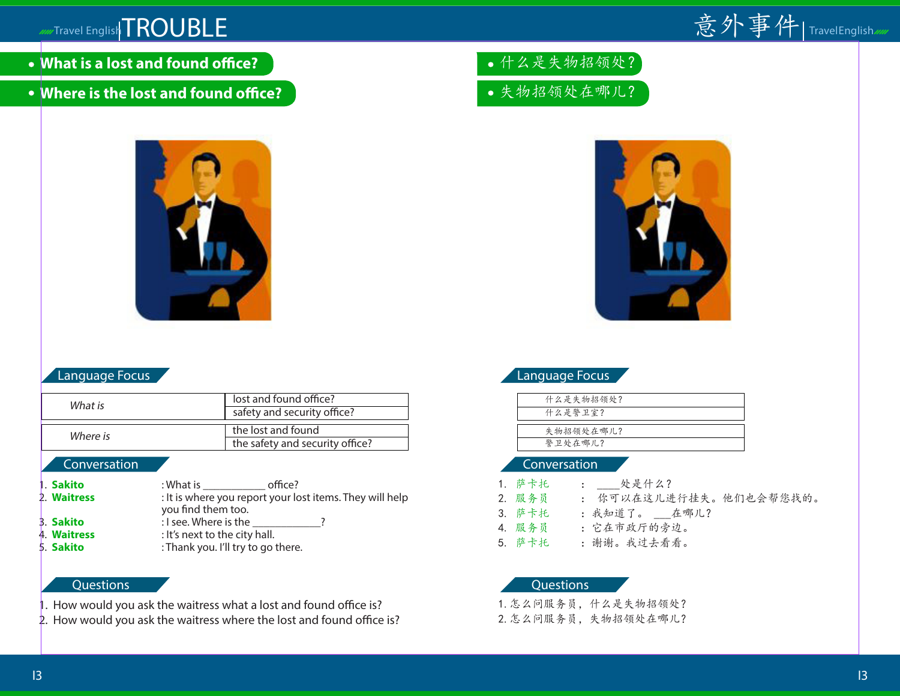

- **What is a lost and found office?**
- **Where is the lost and found office?**



## Language Focus

| What is  | lost and found office?          |
|----------|---------------------------------|
|          | safety and security office?     |
|          |                                 |
| Where is | the lost and found              |
|          | the safety and security office? |
|          |                                 |

## **Conversation**

**1. Sakito** : What is **contract office?** 2. **Waitress** : It is where you report your lost items. They will help you find them too. 3. **Sakito** : I see. Where is the  $\cdot$ ? 4. **Waitress** : It's next to the city hall. 5. **Sakito** : Thank you. I'll try to go there.

## **Questions**

- 1. How would you ask the waitress what a lost and found office is?
- 2. How would you ask the waitress where the lost and found office is?
- 什么是失物招领处?
- 失物招领处在哪儿?



# Language Focus

| 什么是失物招领处? |  |
|-----------|--|
| 什么是警卫室?   |  |
|           |  |
| 失物招领处在哪儿? |  |
| 警卫处在哪儿?   |  |

## Conversation

| 1.萨卡托              | :   处是什么?                                                   |
|--------------------|-------------------------------------------------------------|
| 2. 服务员             | : 你可以在这儿进行挂失。他们也会帮您找的。                                      |
| $\sim$ $+$ $+$ $+$ | $\lambda$<br>$\sim$ $\mathbb{R}$ $\rightarrow$ $\mathbb{R}$ |

- 3. 萨卡托 : 我知道了。 \_\_\_在哪儿?
- 4. 服务员 :它在市政厅的旁边。

5. 萨卡托 :谢谢。我过去看看。

## **Questions**

1.怎么问服务员,什么是失物招领处?

2.怎么问服务员,失物招领处在哪儿?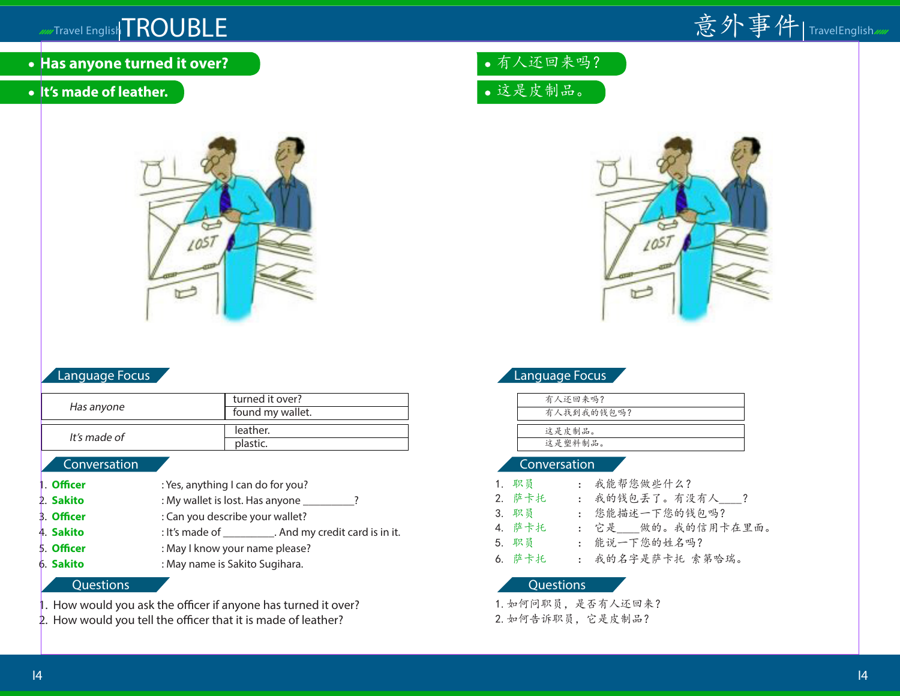# Travel English TROUBLE



- **Has anyone turned it over?**
- **It's made of leather.**



## Language Focus

|              | turned it over?  |
|--------------|------------------|
| Has anyone   | found my wallet. |
|              |                  |
| It's made of | leather.         |
|              | plastic.         |

## **Conversation**

- **Officer** : Yes, anything I can do for you? 2. **Sakito** : My wallet is lost. Has anyone \_\_\_\_\_\_\_\_?
- **Officer** : Can you describe your wallet?
- 4. **Sakito** : It's made of \_\_\_\_\_\_\_\_\_. And my credit card is in it.
- **Officer** : May I know your name please?
- 6. **Sakito** : May name is Sakito Sugihara.

## **Questions**

- 1. How would you ask the officer if anyone has turned it over?
- 2. How would you tell the officer that it is made of leather?
- 有人还回来吗?
- 这是皮制品。



|  | 'Language Focus |  |
|--|-----------------|--|
|  |                 |  |

| 有人还回来吗?    |
|------------|
| 有人找到我的钱包吗? |
|            |
| 这是皮制品。     |
| 这是塑料制品。    |
|            |

## Conversation

- 1. 职员 : 我能帮您做些什么?
- 2. 萨卡托 : 我的钱包丢了。有没有人 ?
- 3. 职员 : 您能描述一下您的钱包吗?
- 4. 萨卡托 : 它是 做的。我的信用卡在里面。
- 5. 职员 : 能说一下您的姓名吗?
- 6. 萨卡托 : 我的名字是萨卡托 索第哈瑞。

## **Questions**

1.如何问职员,是否有人还回来? 2.如何告诉职员,它是皮制品?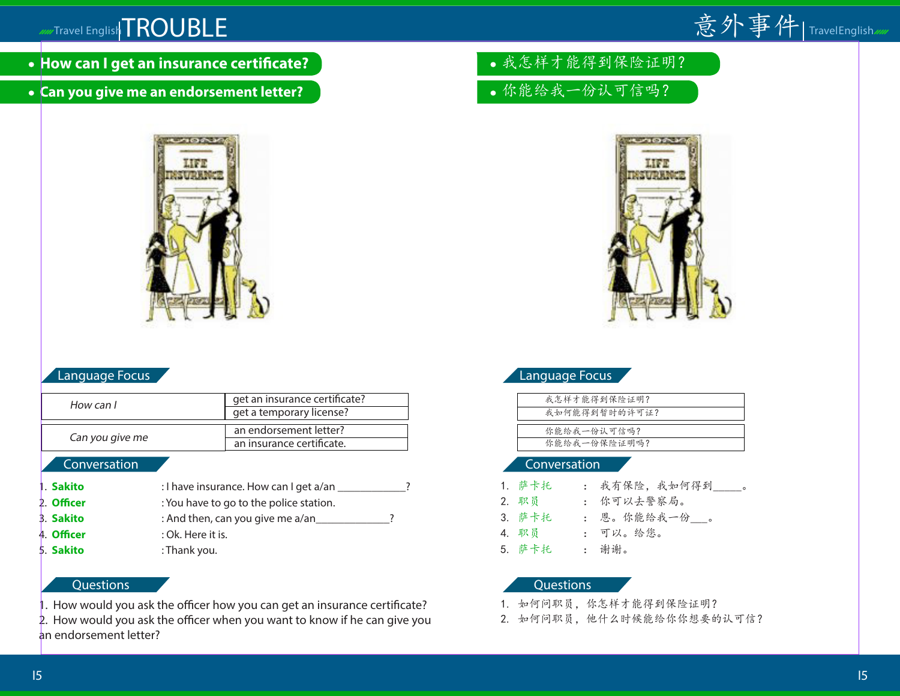

- **How can I get an insurance certificate?**
- **Can you give me an endorsement letter?**



## Language Focus

| How can I        | get an insurance certificate?           |  |  |
|------------------|-----------------------------------------|--|--|
|                  | get a temporary license?                |  |  |
|                  | an endorsement letter?                  |  |  |
| Can you give me  | an insurance certificate.               |  |  |
| Conversation     |                                         |  |  |
| 1. Sakito        | : I have insurance. How can I get a/an  |  |  |
| 2. Officer       | : You have to go to the police station. |  |  |
| <b>3. Sakito</b> | : And then, can you give me a/an        |  |  |
|                  |                                         |  |  |

- 4. **Officer** : Ok. Here it is.
- 5. **Sakito** : Thank you.

## **Questions**

- 1. How would you ask the officer how you can get an insurance certificate?
- 2. How would you ask the officer when you want to know if he can give you an endorsement letter?
- 我怎样才能得到保险证明?
- 你能给我一份认可信吗?



# Language Focus

| 我怎样才能得到保险证明?  |
|---------------|
| 我如何能得到暂时的许可证? |
|               |
| 你能给我一份认可信吗?   |
| 你能给我一份保险证明吗?  |
|               |

## Conversation

| 1. 萨卡托 | : 我有保险, 我如何得到_____。 |
|--------|---------------------|
| 2. 职员  | : 你可以去警察局。          |
| 3. 萨卡托 | : 恩。你能给我一份___。      |
| 4. 职员  | : 可以。给您。            |
| 5. 萨卡托 | : 谢谢。               |

- 1. 如何问职员,你怎样才能得到保险证明?
- 2. 如何问职员,他什么时候能给你你想要的认可信?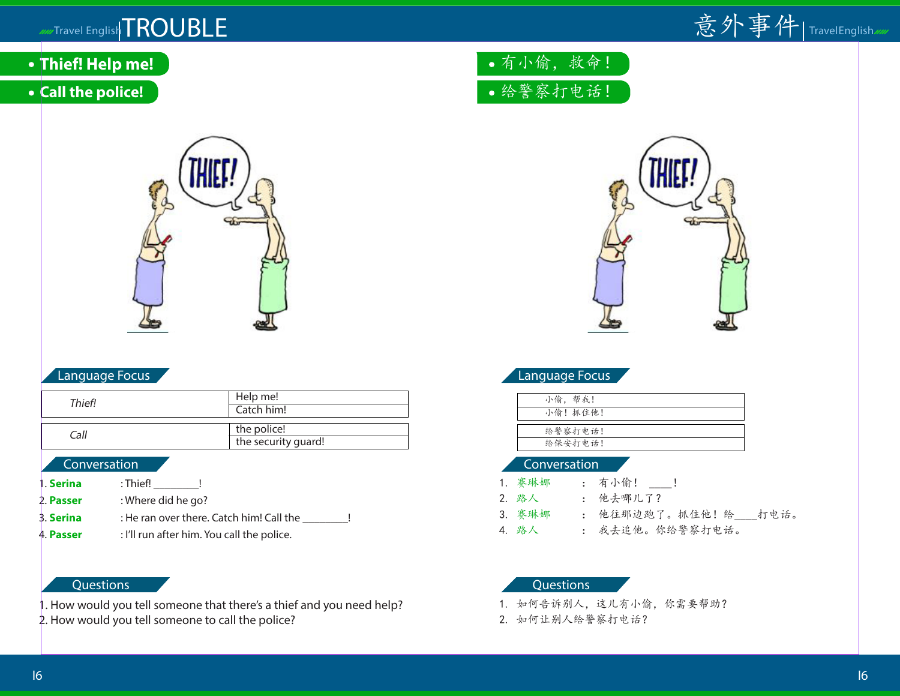

- **Thief! Help me!**
- **Call the police!**



## Language Focus

| Thief! | Help me!<br>Catch him!             |
|--------|------------------------------------|
| Call   | the police!<br>the security guard! |
|        |                                    |

#### Conversation

| 1. Serina        | :Thief!                                    |
|------------------|--------------------------------------------|
| 2. Passer        | : Where did he go?                         |
| <b>3. Serina</b> | : He ran over there. Catch him! Call the   |
| 4. Passer        | : I'll run after him. You call the police. |

## **Questions**

- 1. How would you tell someone that there's a thief and you need help?
- 2. How would you tell someone to call the police?

# 有小偷,救命! 给警察打电话!



# Language Focus

| 小偷,帮我!  |  |
|---------|--|
| 小偷!抓住他! |  |
|         |  |
| 给警察打电话! |  |
| 给保安打电话! |  |

### Conversation

| 1. 赛琳娜 | : 有小偷!   |
|--------|----------|
| 2. 路人  | : 他去哪儿了? |

- 3. 赛琳娜 : 他往那边跑了。抓住他! 给 打电话。
- 4. 路人 : 我去追他。你给警察打电话。

- 1. 如何告诉别人,这儿有小偷,你需要帮助?
- 2. 如何让别人给警察打电话?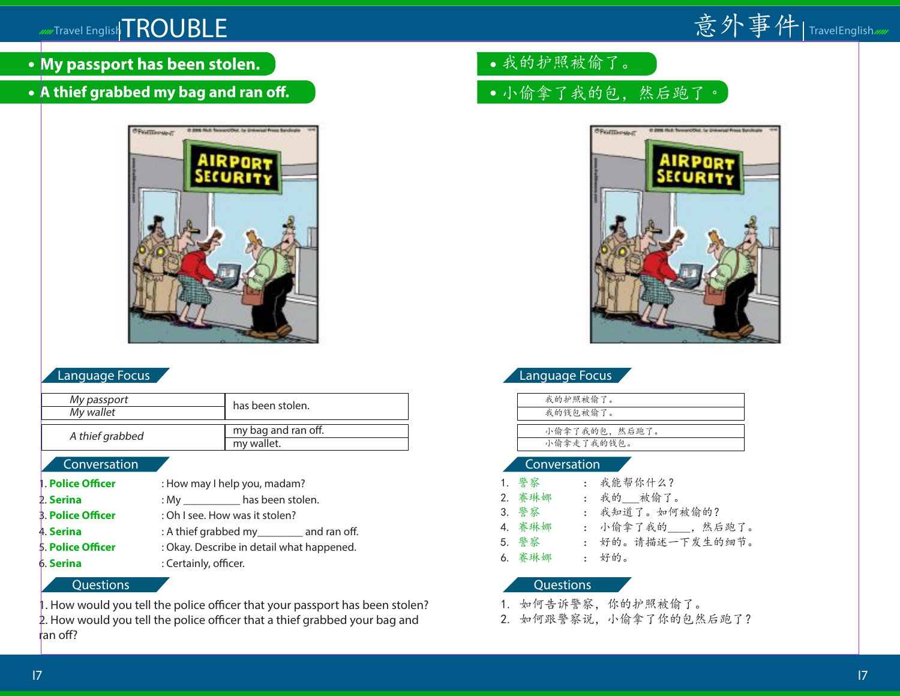

- **My passport has been stolen.**
- **A thief grabbed my bag and ran off.**



## Language Focus

| My passport<br>My wallet | has been stolen.                  |
|--------------------------|-----------------------------------|
| A thief grabbed          | my bag and ran off.<br>my wallet. |

## **Conversation**

**Police Officer** : How may I help you, madam? 2. **Serina** : My **has been stolen.** 3. **Police Officer** : Oh I see. How was it stolen? 4. **Serina** : A thief grabbed my\_\_\_\_\_\_\_\_ and ran off. 5. **Police Officer** : Okay. Describe in detail what happened. **6. Serina** : Certainly, officer.

## **Questions**

1. How would you tell the police officer that your passport has been stolen?

2. How would you tell the police officer that a thief grabbed your bag and ran off?

- 我的护照被偷了。
- 小偷拿了我的包,然后跑了。



|  | Language Focus |  |
|--|----------------|--|
|  |                |  |

| 我的护照被偷了。      |
|---------------|
| 我的钱包被偷了。      |
|               |
| 小偷拿了我的包,然后跑了。 |
| 小偷拿走了我的钱包。    |
|               |

### Conversation

| : 我能帮你什么?          |
|--------------------|
| : 我的 被偷了。          |
| : 我知道了。如何被偷的?      |
| : 小偷拿了我的___, 然后跑了。 |
| : 好的。请描述一下发生的细节。   |
|                    |
|                    |

- 1. 如何告诉警察,你的护照被偷了。
- 2. 如何跟警察说,小偷拿了你的包然后跑了?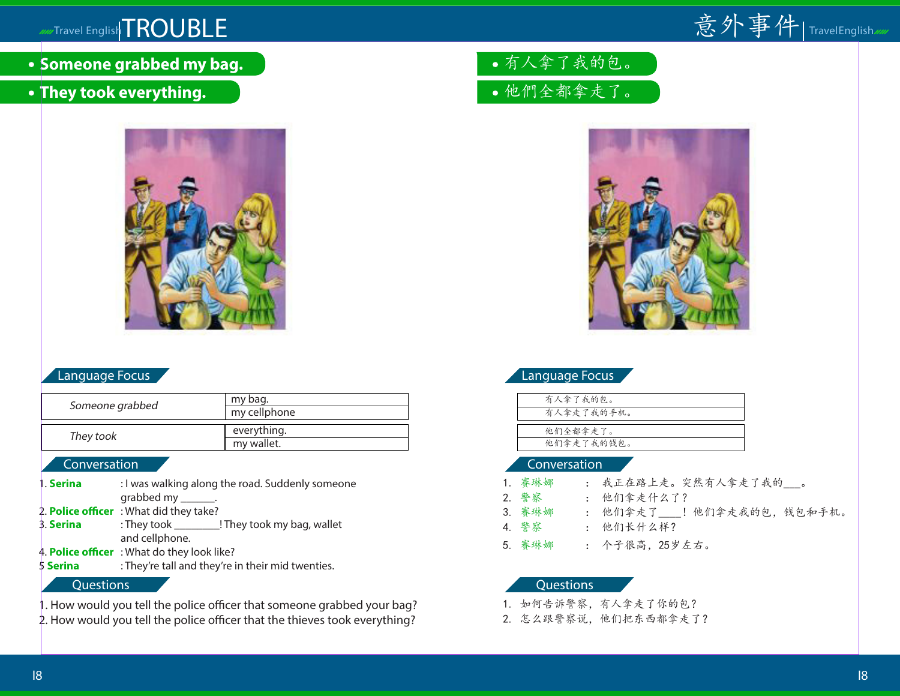

**• Someone grabbed my bag.** 

# **They took everything.**



# Language Focus

| Someone grabbed | my bag.<br>my cellphone |
|-----------------|-------------------------|
|                 |                         |
| They took       | everything.             |
|                 | my wallet.              |
| Converstion     |                         |

## onversation

- **Serina** : I was walking along the road. Suddenly someone grabbed my \_\_\_\_\_\_. 2. **Police officer** : What did they take? 3. **Serina** : They took \_\_\_\_\_\_\_\_! They took my bag, wallet and cellphone. 4. **Police officer** : What do they look like?
- 5 **Serina** : They're tall and they're in their mid twenties.

## **Questions**

- 1. How would you tell the police officer that someone grabbed your bag?
- 2. How would you tell the police officer that the thieves took everything?

有人拿了我的包。 他們全都拿走了。



# Language Focus

| 有人拿了我的包。   |
|------------|
| 有人拿走了我的手机。 |
|            |
| 他们全都拿走了。   |
| 他们拿走了我的钱包。 |
|            |

## Conversation

| 1.赛琳娜 | : 我正在路上走。突然有人拿走了我的___。 |
|-------|------------------------|
| 2. 警察 | : 他们拿走什么了?             |

- 3. 赛琳娜 : 他们拿走了 ! 他们拿走我的包, 钱包和手机。
- 4. 警察 : 他们长什么样?
- 5. 赛琳娜 : 个子很高,25岁左右。

- 1. 如何告诉警察,有人拿走了你的包?
- 2. 怎么跟警察说,他们把东西都拿走了?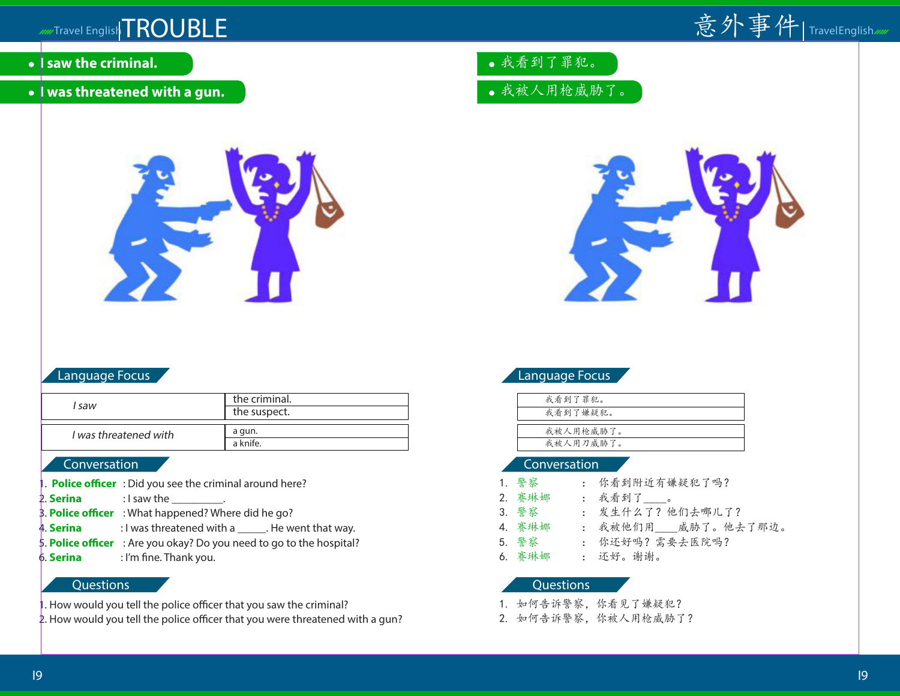

- **I saw the criminal.**
- **I was threatened with a gun.**



## Language Focus

|                       | the criminal. |
|-----------------------|---------------|
| l saw                 | the suspect.  |
|                       |               |
| I was threatened with | a gun.        |
|                       | a knife.      |

## **Conversation**

- **Police officer** : Did you see the criminal around here?
- **2. Serina**  $\qquad$  : I saw the  $\qquad$ .
- 3. **Police officer** : What happened? Where did he go?
- 4. **Serina** : I was threatened with a \_\_\_\_\_\_. He went that way.
- 5. **Police officer** : Are you okay? Do you need to go to the hospital?
- 6. **Serina** : I'm fine. Thank you.

## **Questions**

- . How would you tell the police officer that you saw the criminal?
- 2. How would you tell the police officer that you were threatened with a gun?
- 我看到了罪犯。
- 我被人用枪威胁了。



# Language Focus

| 我看到了罪犯。   |  |
|-----------|--|
| 我看到了嫌疑犯。  |  |
|           |  |
| 我被人用枪威胁了。 |  |
| 我被人用刀威胁了。 |  |

### Conversation

| 1. 警察  | : 你看到附近有嫌疑犯了吗?     |
|--------|--------------------|
| 2. 赛琳娜 | : 我看到了。            |
| 3. 警察  | : 发生什么了?他们去哪儿了?    |
| 4. 赛琳娜 | : 我被他们用 威胁了。他去了那边。 |
| 5. 警察  | : 你还好吗? 需要去医院吗?    |
| 6. 赛琳娜 | : 还好。谢谢。           |

- 1. 如何告诉警察,你看见了嫌疑犯?
- 2. 如何告诉警察,你被人用枪威胁了?